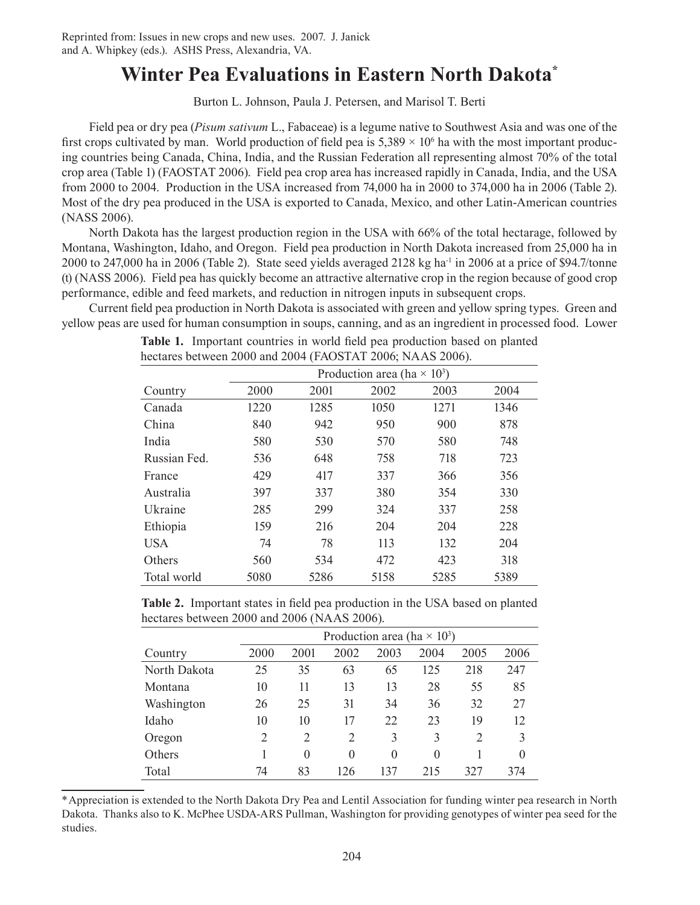# **Winter Pea Evaluations in Eastern North Dakota\***

Burton L. Johnson, Paula J. Petersen, and Marisol T. Berti

Field pea or dry pea (*Pisum sativum* L., Fabaceae) is a legume native to Southwest Asia and was one of the first crops cultivated by man. World production of field pea is  $5,389 \times 10^6$  ha with the most important producing countries being Canada, China, India, and the Russian Federation all representing almost 70% of the total crop area (Table 1) (FAOSTAT 2006). Field pea crop area has increased rapidly in Canada, India, and the USA from 2000 to 2004. Production in the USA increased from 74,000 ha in 2000 to 374,000 ha in 2006 (Table 2). Most of the dry pea produced in the USA is exported to Canada, Mexico, and other Latin-American countries (NASS 2006).

North Dakota has the largest production region in the USA with 66% of the total hectarage, followed by Montana, Washington, Idaho, and Oregon. Field pea production in North Dakota increased from 25,000 ha in 2000 to 247,000 ha in 2006 (Table 2). State seed yields averaged 2128 kg ha<sup>-1</sup> in 2006 at a price of \$94.7/tonne (t) (NASS 2006). Field pea has quickly become an attractive alternative crop in the region because of good crop performance, edible and feed markets, and reduction in nitrogen inputs in subsequent crops.

Current field pea production in North Dakota is associated with green and yellow spring types. Green and yellow peas are used for human consumption in soups, canning, and as an ingredient in processed food. Lower

|              | Production area (ha $\times$ 10 <sup>3</sup> ) |      |      |      |      |  |  |  |
|--------------|------------------------------------------------|------|------|------|------|--|--|--|
| Country      | 2000                                           | 2001 | 2002 | 2003 | 2004 |  |  |  |
| Canada       | 1220                                           | 1285 | 1050 | 1271 | 1346 |  |  |  |
| China        | 840                                            | 942  | 950  | 900  | 878  |  |  |  |
| India        | 580                                            | 530  | 570  | 580  | 748  |  |  |  |
| Russian Fed. | 536                                            | 648  | 758  | 718  | 723  |  |  |  |
| France       | 429                                            | 417  | 337  | 366  | 356  |  |  |  |
| Australia    | 397                                            | 337  | 380  | 354  | 330  |  |  |  |
| Ukraine      | 285                                            | 299  | 324  | 337  | 258  |  |  |  |
| Ethiopia     | 159                                            | 216  | 204  | 204  | 228  |  |  |  |
| <b>USA</b>   | 74                                             | 78   | 113  | 132  | 204  |  |  |  |
| Others       | 560                                            | 534  | 472  | 423  | 318  |  |  |  |
| Total world  | 5080                                           | 5286 | 5158 | 5285 | 5389 |  |  |  |

**Table 1.** Important countries in world field pea production based on planted hectares between 2000 and 2004 (FAOSTAT 2006; NAAS 2006).

**Table 2.** Important states in field pea production in the USA based on planted hectares between 2000 and 2006 (NAAS 2006).

|              | Production area (ha $\times$ 10 <sup>3</sup> ) |                |                |          |          |                |          |  |
|--------------|------------------------------------------------|----------------|----------------|----------|----------|----------------|----------|--|
| Country      | 2000                                           | 2001           | 2002           | 2003     | 2004     | 2005           | 2006     |  |
| North Dakota | 25                                             | 35             | 63             | 65       | 125      | 218            | 247      |  |
| Montana      | 10                                             | 11             | 13             | 13       | 28       | 55             | 85       |  |
| Washington   | 26                                             | 25             | 31             | 34       | 36       | 32             | 27       |  |
| Idaho        | 10                                             | 10             | 17             | 22       | 23       | 19             | 12       |  |
| Oregon       | 2                                              | $\overline{2}$ | $\overline{2}$ | 3        | 3        | $\overline{2}$ | 3        |  |
| Others       |                                                | $\theta$       | $\Omega$       | $\theta$ | $\Omega$ |                | $\theta$ |  |
| Total        | 74                                             | 83             | 126            | 137      | 215      | 327            | 374      |  |

\*Appreciation is extended to the North Dakota Dry Pea and Lentil Association for funding winter pea research in North Dakota. Thanks also to K. McPhee USDA-ARS Pullman, Washington for providing genotypes of winter pea seed for the studies.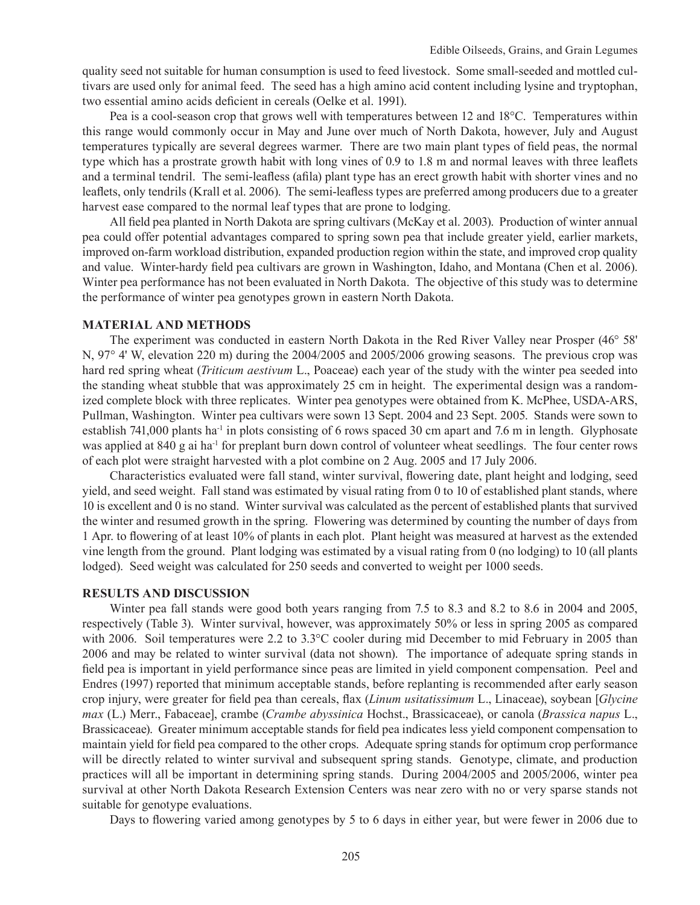quality seed not suitable for human consumption is used to feed livestock. Some small-seeded and mottled cultivars are used only for animal feed. The seed has a high amino acid content including lysine and tryptophan, two essential amino acids deficient in cereals (Oelke et al. 1991).

Pea is a cool-season crop that grows well with temperatures between 12 and 18°C. Temperatures within this range would commonly occur in May and June over much of North Dakota, however, July and August temperatures typically are several degrees warmer. There are two main plant types of field peas, the normal type which has a prostrate growth habit with long vines of 0.9 to 1.8 m and normal leaves with three leaflets and a terminal tendril. The semi-leafless (afila) plant type has an erect growth habit with shorter vines and no leaflets, only tendrils (Krall et al. 2006). The semi-leafless types are preferred among producers due to a greater harvest ease compared to the normal leaf types that are prone to lodging.

All field pea planted in North Dakota are spring cultivars (McKay et al. 2003). Production of winter annual pea could offer potential advantages compared to spring sown pea that include greater yield, earlier markets, improved on-farm workload distribution, expanded production region within the state, and improved crop quality and value. Winter-hardy field pea cultivars are grown in Washington, Idaho, and Montana (Chen et al. 2006). Winter pea performance has not been evaluated in North Dakota. The objective of this study was to determine the performance of winter pea genotypes grown in eastern North Dakota.

#### **Material and Methods**

The experiment was conducted in eastern North Dakota in the Red River Valley near Prosper (46° 58' N, 97° 4' W, elevation 220 m) during the 2004/2005 and 2005/2006 growing seasons. The previous crop was hard red spring wheat (*Triticum aestivum* L., Poaceae) each year of the study with the winter pea seeded into the standing wheat stubble that was approximately 25 cm in height. The experimental design was a randomized complete block with three replicates. Winter pea genotypes were obtained from K. McPhee, USDA-ARS, Pullman, Washington. Winter pea cultivars were sown 13 Sept. 2004 and 23 Sept. 2005. Stands were sown to establish 741,000 plants ha<sup>-1</sup> in plots consisting of 6 rows spaced 30 cm apart and 7.6 m in length. Glyphosate was applied at 840 g ai ha<sup>-1</sup> for preplant burn down control of volunteer wheat seedlings. The four center rows of each plot were straight harvested with a plot combine on 2 Aug. 2005 and 17 July 2006.

Characteristics evaluated were fall stand, winter survival, flowering date, plant height and lodging, seed yield, and seed weight. Fall stand was estimated by visual rating from 0 to 10 of established plant stands, where 10 is excellent and 0 is no stand. Winter survival was calculated as the percent of established plants that survived the winter and resumed growth in the spring. Flowering was determined by counting the number of days from 1 Apr. to flowering of at least 10% of plants in each plot. Plant height was measured at harvest as the extended vine length from the ground. Plant lodging was estimated by a visual rating from 0 (no lodging) to 10 (all plants lodged). Seed weight was calculated for 250 seeds and converted to weight per 1000 seeds.

### **Results and Discussion**

Winter pea fall stands were good both years ranging from 7.5 to 8.3 and 8.2 to 8.6 in 2004 and 2005, respectively (Table 3). Winter survival, however, was approximately 50% or less in spring 2005 as compared with 2006. Soil temperatures were 2.2 to 3.3°C cooler during mid December to mid February in 2005 than 2006 and may be related to winter survival (data not shown). The importance of adequate spring stands in field pea is important in yield performance since peas are limited in yield component compensation. Peel and Endres (1997) reported that minimum acceptable stands, before replanting is recommended after early season crop injury, were greater for field pea than cereals, flax (*Linum usitatissimum* L., Linaceae), soybean [*Glycine max* (L.) Merr., Fabaceae], crambe (*Crambe abyssinica* Hochst., Brassicaceae), or canola (*Brassica napus* L., Brassicaceae). Greater minimum acceptable stands for field pea indicates less yield component compensation to maintain yield for field pea compared to the other crops. Adequate spring stands for optimum crop performance will be directly related to winter survival and subsequent spring stands. Genotype, climate, and production practices will all be important in determining spring stands. During 2004/2005 and 2005/2006, winter pea survival at other North Dakota Research Extension Centers was near zero with no or very sparse stands not suitable for genotype evaluations.

Days to flowering varied among genotypes by 5 to 6 days in either year, but were fewer in 2006 due to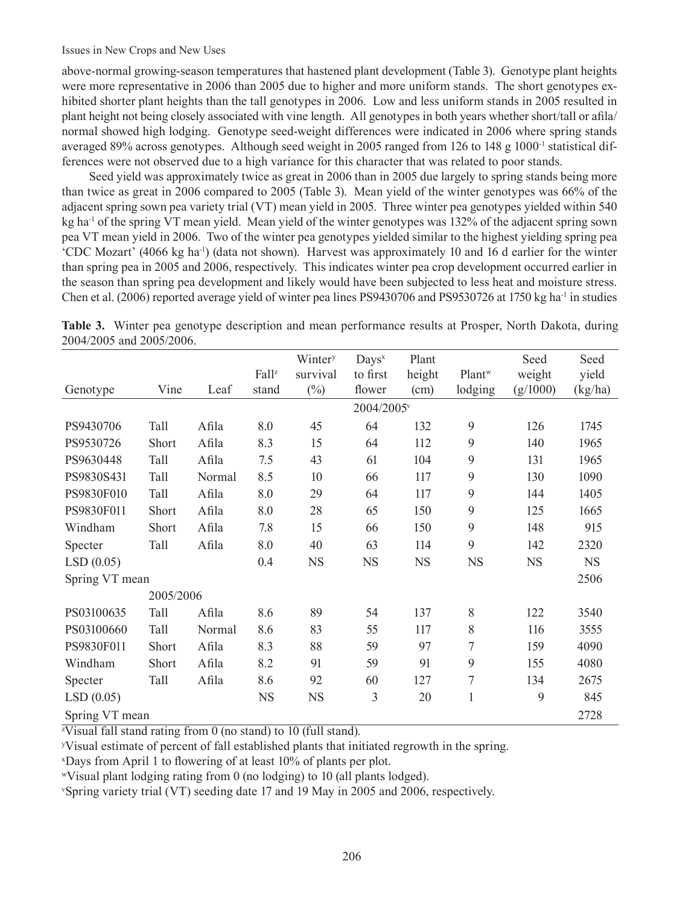above-normal growing-season temperatures that hastened plant development (Table 3). Genotype plant heights were more representative in 2006 than 2005 due to higher and more uniform stands. The short genotypes exhibited shorter plant heights than the tall genotypes in 2006. Low and less uniform stands in 2005 resulted in plant height not being closely associated with vine length. All genotypes in both years whether short/tall or afila/ normal showed high lodging. Genotype seed-weight differences were indicated in 2006 where spring stands averaged 89% across genotypes. Although seed weight in 2005 ranged from 126 to 148 g 1000-1 statistical differences were not observed due to a high variance for this character that was related to poor stands.

Seed yield was approximately twice as great in 2006 than in 2005 due largely to spring stands being more than twice as great in 2006 compared to 2005 (Table 3). Mean yield of the winter genotypes was 66% of the adjacent spring sown pea variety trial (VT) mean yield in 2005. Three winter pea genotypes yielded within 540 kg ha<sup>-1</sup> of the spring VT mean yield. Mean yield of the winter genotypes was 132% of the adjacent spring sown pea VT mean yield in 2006. Two of the winter pea genotypes yielded similar to the highest yielding spring pea 'CDC Mozart' (4066 kg ha-1) (data not shown). Harvest was approximately 10 and 16 d earlier for the winter than spring pea in 2005 and 2006, respectively. This indicates winter pea crop development occurred earlier in the season than spring pea development and likely would have been subjected to less heat and moisture stress. Chen et al. (2006) reported average yield of winter pea lines PS9430706 and PS9530726 at 1750 kg ha<sup>-1</sup> in studies

|                |              |        |           | Wintery   | $_{\text{Days}}$       | Plant     |                    | Seed      | Seed      |
|----------------|--------------|--------|-----------|-----------|------------------------|-----------|--------------------|-----------|-----------|
|                |              |        | Fallz     | survival  | to first               | height    | Plant <sup>w</sup> | weight    | yield     |
| Genotype       | Vine         | Leaf   | stand     | $(\%)$    | flower                 | (cm)      | lodging            | (g/1000)  | (kg/ha)   |
|                |              |        |           |           | 2004/2005 <sup>v</sup> |           |                    |           |           |
| PS9430706      | Tall         | Afila  | 8.0       | 45        | 64                     | 132       | 9                  | 126       | 1745      |
| PS9530726      | <b>Short</b> | Afila  | 8.3       | 15        | 64                     | 112       | 9                  | 140       | 1965      |
| PS9630448      | Tall         | Afila  | 7.5       | 43        | 61                     | 104       | 9                  | 131       | 1965      |
| PS9830S431     | Tall         | Normal | 8.5       | 10        | 66                     | 117       | 9                  | 130       | 1090      |
| PS9830F010     | Tall         | Afila  | 8.0       | 29        | 64                     | 117       | 9                  | 144       | 1405      |
| PS9830F011     | Short        | Afila  | 8.0       | 28        | 65                     | 150       | 9                  | 125       | 1665      |
| Windham        | Short        | Afila  | 7.8       | 15        | 66                     | 150       | 9                  | 148       | 915       |
| Specter        | Tall         | Afila  | 8.0       | 40        | 63                     | 114       | 9                  | 142       | 2320      |
| LSD(0.05)      |              |        | 0.4       | <b>NS</b> | <b>NS</b>              | <b>NS</b> | <b>NS</b>          | <b>NS</b> | <b>NS</b> |
| Spring VT mean |              |        |           |           |                        |           |                    |           | 2506      |
|                | 2005/2006    |        |           |           |                        |           |                    |           |           |
| PS03100635     | Tall         | Afila  | 8.6       | 89        | 54                     | 137       | 8                  | 122       | 3540      |
| PS03100660     | Tall         | Normal | 8.6       | 83        | 55                     | 117       | 8                  | 116       | 3555      |
| PS9830F011     | <b>Short</b> | Afila  | 8.3       | 88        | 59                     | 97        | 7                  | 159       | 4090      |
| Windham        | Short        | Afila  | 8.2       | 91        | 59                     | 91        | 9                  | 155       | 4080      |
| Specter        | Tall         | Afila  | 8.6       | 92        | 60                     | 127       | $\overline{7}$     | 134       | 2675      |
| LSD(0.05)      |              |        | <b>NS</b> | <b>NS</b> | $\overline{3}$         | 20        | $\mathbf{1}$       | 9         | 845       |
| Spring VT mean |              |        |           |           |                        |           |                    |           | 2728      |

|                          |  | Table 3. Winter pea genotype description and mean performance results at Prosper, North Dakota, during |  |  |  |
|--------------------------|--|--------------------------------------------------------------------------------------------------------|--|--|--|
| 2004/2005 and 2005/2006. |  |                                                                                                        |  |  |  |

z Visual fall stand rating from 0 (no stand) to 10 (full stand).

y Visual estimate of percent of fall established plants that initiated regrowth in the spring.

x Days from April 1 to flowering of at least 10% of plants per plot.

<sup>w</sup>Visual plant lodging rating from 0 (no lodging) to 10 (all plants lodged).

v Spring variety trial (VT) seeding date 17 and 19 May in 2005 and 2006, respectively.